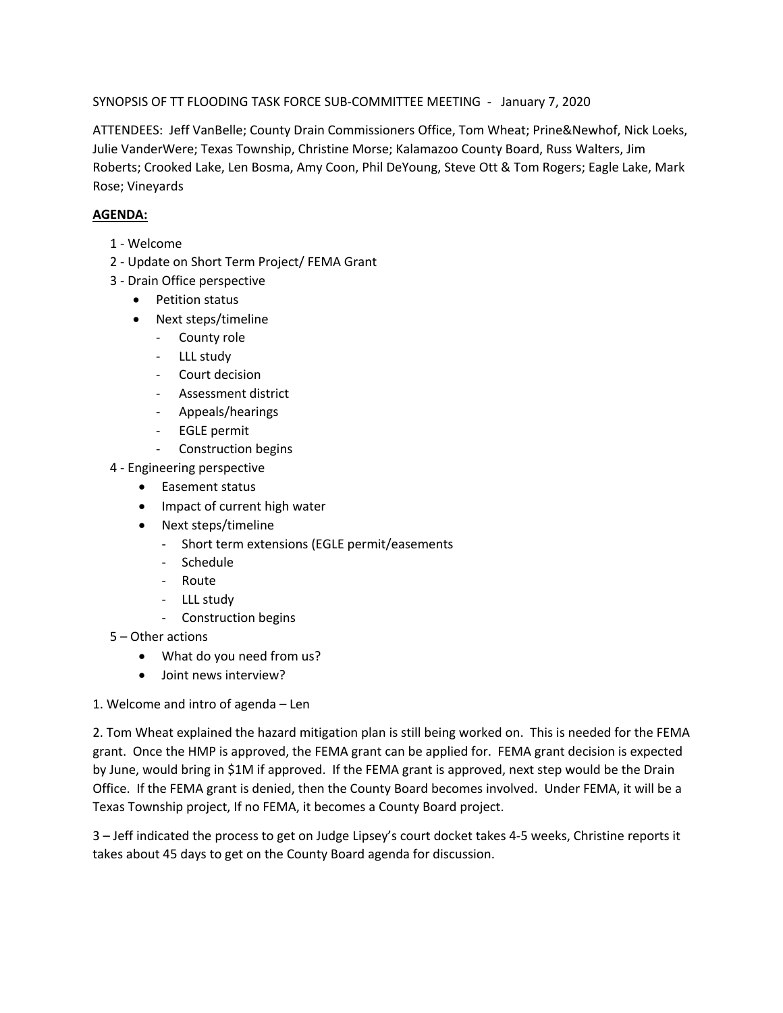SYNOPSIS OF TT FLOODING TASK FORCE SUB-COMMITTEE MEETING - January 7, 2020

ATTENDEES: Jeff VanBelle; County Drain Commissioners Office, Tom Wheat; Prine&Newhof, Nick Loeks, Julie VanderWere; Texas Township, Christine Morse; Kalamazoo County Board, Russ Walters, Jim Roberts; Crooked Lake, Len Bosma, Amy Coon, Phil DeYoung, Steve Ott & Tom Rogers; Eagle Lake, Mark Rose; Vineyards

## **AGENDA:**

- 1 Welcome
- 2 Update on Short Term Project/ FEMA Grant
- 3 Drain Office perspective
	- Petition status
	- Next steps/timeline
		- County role
		- LLL study
		- Court decision
		- Assessment district
		- Appeals/hearings
		- EGLE permit
		- Construction begins
- 4 Engineering perspective
	- Easement status
	- Impact of current high water
	- Next steps/timeline
		- Short term extensions (EGLE permit/easements
		- Schedule
		- Route
		- LLL study
		- Construction begins
- 5 Other actions
	- What do you need from us?
	- Joint news interview?
- 1. Welcome and intro of agenda Len

2. Tom Wheat explained the hazard mitigation plan is still being worked on. This is needed for the FEMA grant. Once the HMP is approved, the FEMA grant can be applied for. FEMA grant decision is expected by June, would bring in \$1M if approved. If the FEMA grant is approved, next step would be the Drain Office. If the FEMA grant is denied, then the County Board becomes involved. Under FEMA, it will be a Texas Township project, If no FEMA, it becomes a County Board project.

3 – Jeff indicated the process to get on Judge Lipsey's court docket takes 4-5 weeks, Christine reports it takes about 45 days to get on the County Board agenda for discussion.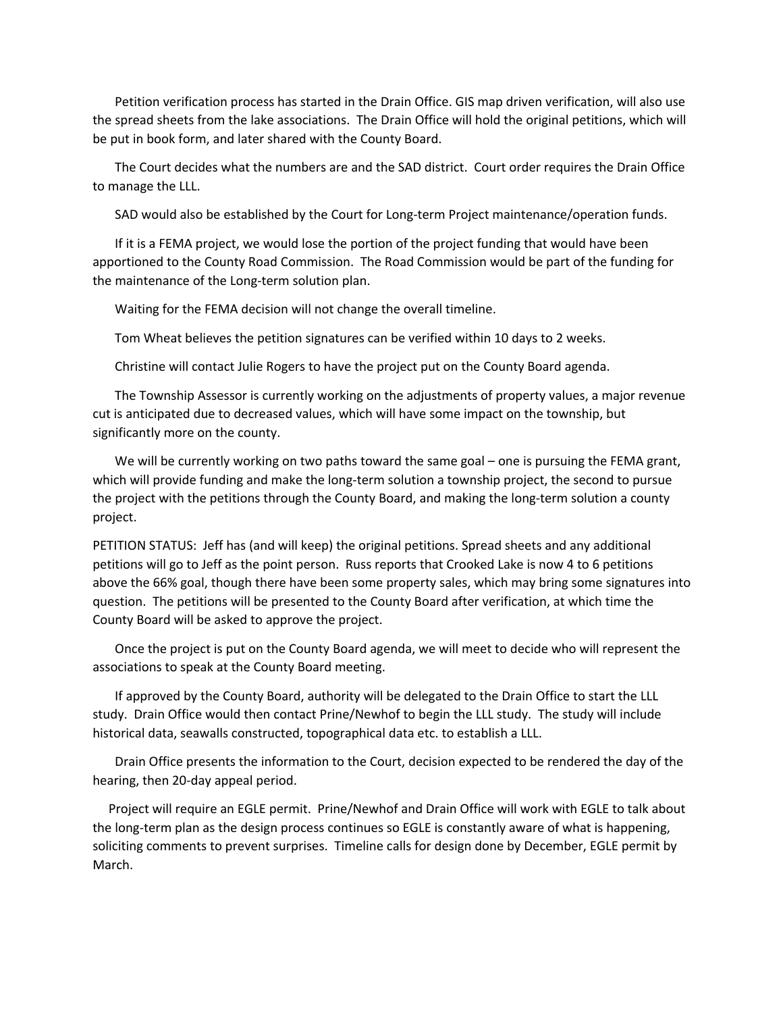Petition verification process has started in the Drain Office. GIS map driven verification, will also use the spread sheets from the lake associations. The Drain Office will hold the original petitions, which will be put in book form, and later shared with the County Board.

 The Court decides what the numbers are and the SAD district. Court order requires the Drain Office to manage the LLL.

SAD would also be established by the Court for Long-term Project maintenance/operation funds.

 If it is a FEMA project, we would lose the portion of the project funding that would have been apportioned to the County Road Commission. The Road Commission would be part of the funding for the maintenance of the Long-term solution plan.

Waiting for the FEMA decision will not change the overall timeline.

Tom Wheat believes the petition signatures can be verified within 10 days to 2 weeks.

Christine will contact Julie Rogers to have the project put on the County Board agenda.

 The Township Assessor is currently working on the adjustments of property values, a major revenue cut is anticipated due to decreased values, which will have some impact on the township, but significantly more on the county.

We will be currently working on two paths toward the same goal – one is pursuing the FEMA grant, which will provide funding and make the long-term solution a township project, the second to pursue the project with the petitions through the County Board, and making the long-term solution a county project.

PETITION STATUS: Jeff has (and will keep) the original petitions. Spread sheets and any additional petitions will go to Jeff as the point person. Russ reports that Crooked Lake is now 4 to 6 petitions above the 66% goal, though there have been some property sales, which may bring some signatures into question. The petitions will be presented to the County Board after verification, at which time the County Board will be asked to approve the project.

 Once the project is put on the County Board agenda, we will meet to decide who will represent the associations to speak at the County Board meeting.

 If approved by the County Board, authority will be delegated to the Drain Office to start the LLL study. Drain Office would then contact Prine/Newhof to begin the LLL study. The study will include historical data, seawalls constructed, topographical data etc. to establish a LLL.

 Drain Office presents the information to the Court, decision expected to be rendered the day of the hearing, then 20-day appeal period.

 Project will require an EGLE permit. Prine/Newhof and Drain Office will work with EGLE to talk about the long-term plan as the design process continues so EGLE is constantly aware of what is happening, soliciting comments to prevent surprises. Timeline calls for design done by December, EGLE permit by March.